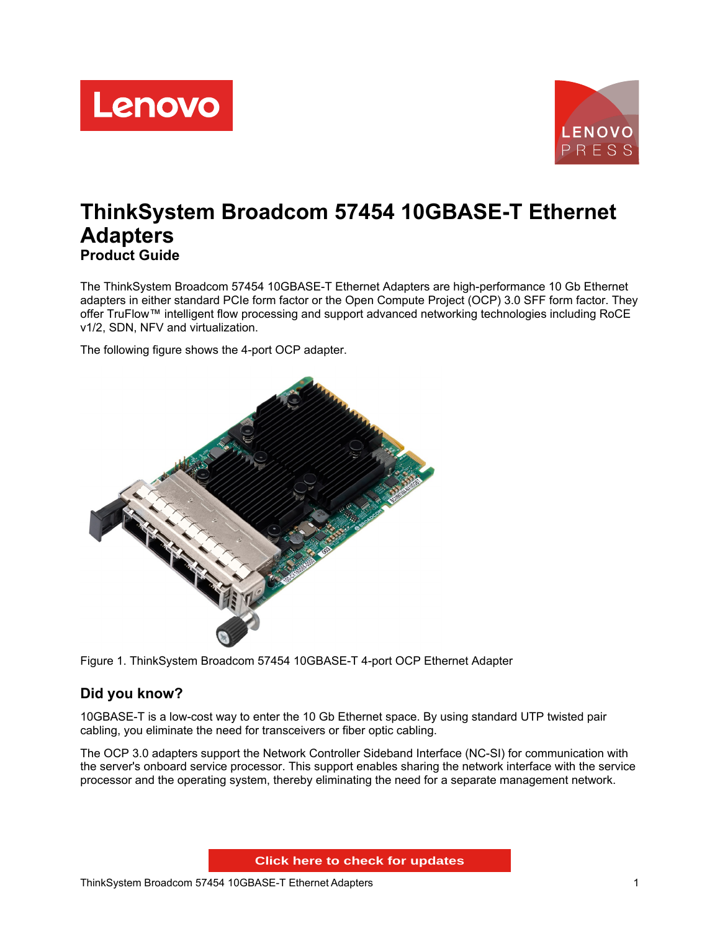



# **ThinkSystem Broadcom 57454 10GBASE-T Ethernet Adapters Product Guide**

The ThinkSystem Broadcom 57454 10GBASE-T Ethernet Adapters are high-performance 10 Gb Ethernet adapters in either standard PCIe form factor or the Open Compute Project (OCP) 3.0 SFF form factor. They offer TruFlow™ intelligent flow processing and support advanced networking technologies including RoCE v1/2, SDN, NFV and virtualization.

The following figure shows the 4-port OCP adapter.



Figure 1. ThinkSystem Broadcom 57454 10GBASE-T 4-port OCP Ethernet Adapter

# **Did you know?**

10GBASE-T is a low-cost way to enter the 10 Gb Ethernet space. By using standard UTP twisted pair cabling, you eliminate the need for transceivers or fiber optic cabling.

The OCP 3.0 adapters support the Network Controller Sideband Interface (NC-SI) for communication with the server's onboard service processor. This support enables sharing the network interface with the service processor and the operating system, thereby eliminating the need for a separate management network.

**Click here to check for updates**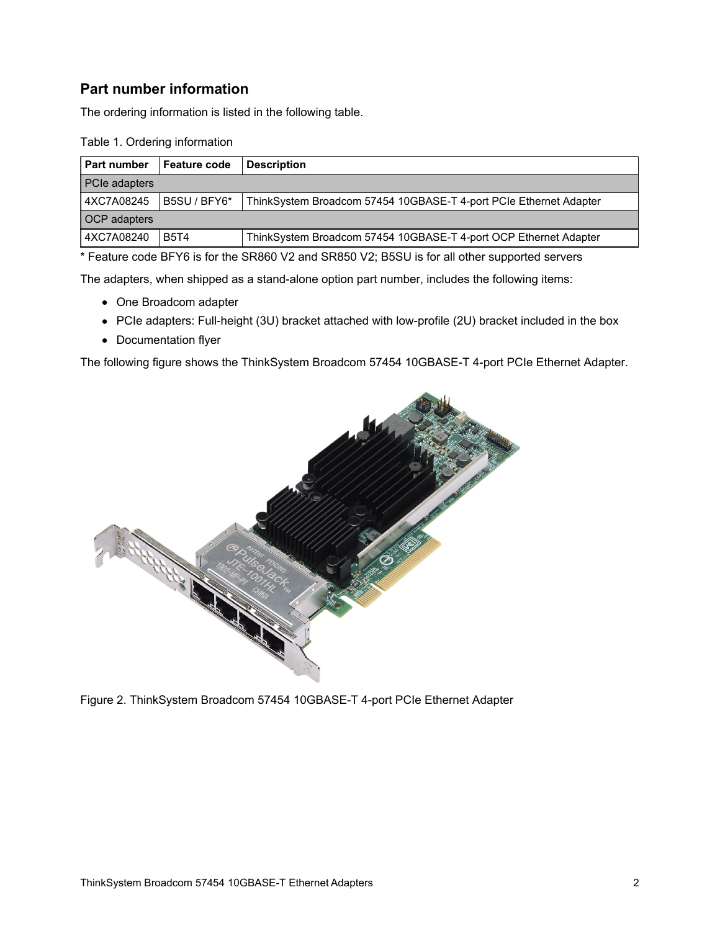# **Part number information**

The ordering information is listed in the following table.

| Table 1. Ordering information |  |
|-------------------------------|--|
|-------------------------------|--|

| <b>Part number</b>   | <b>Feature code</b> | <b>Description</b>                                                |
|----------------------|---------------------|-------------------------------------------------------------------|
| <b>PCIe adapters</b> |                     |                                                                   |
| 4XC7A08245           | B5SU / BFY6*        | ThinkSystem Broadcom 57454 10GBASE-T 4-port PCIe Ethernet Adapter |
| <b>OCP</b> adapters  |                     |                                                                   |
| 4XC7A08240           | <b>B5T4</b>         | ThinkSystem Broadcom 57454 10GBASE-T 4-port OCP Ethernet Adapter  |

\* Feature code BFY6 is for the SR860 V2 and SR850 V2; B5SU is for all other supported servers

The adapters, when shipped as a stand-alone option part number, includes the following items:

- One Broadcom adapter
- PCIe adapters: Full-height (3U) bracket attached with low-profile (2U) bracket included in the box
- Documentation flyer

The following figure shows the ThinkSystem Broadcom 57454 10GBASE-T 4-port PCIe Ethernet Adapter.



Figure 2. ThinkSystem Broadcom 57454 10GBASE-T 4-port PCIe Ethernet Adapter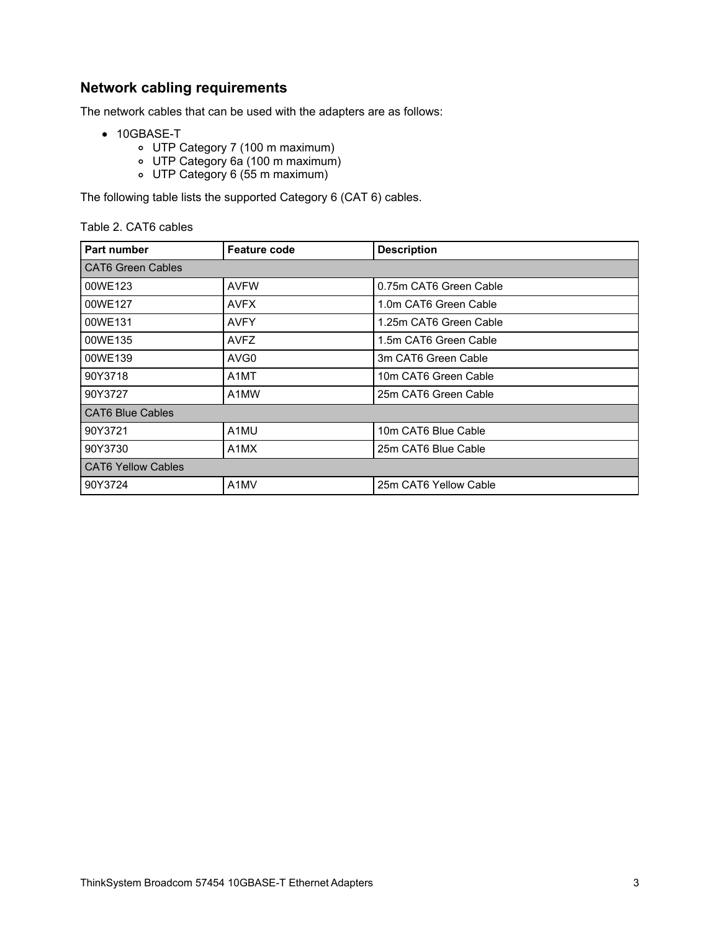# **Network cabling requirements**

The network cables that can be used with the adapters are as follows:

- 10GBASE-T
	- UTP Category 7 (100 m maximum)
	- UTP Category 6a (100 m maximum)
	- UTP Category 6 (55 m maximum)

The following table lists the supported Category 6 (CAT 6) cables.

#### Table 2. CAT6 cables

| <b>Part number</b>        | <b>Feature code</b> | <b>Description</b>     |
|---------------------------|---------------------|------------------------|
| <b>CAT6 Green Cables</b>  |                     |                        |
| 00WE123                   | <b>AVFW</b>         | 0.75m CAT6 Green Cable |
| 00WE127                   | <b>AVFX</b>         | 1.0m CAT6 Green Cable  |
| 00WE131                   | <b>AVFY</b>         | 1.25m CAT6 Green Cable |
| 00WE135                   | <b>AVFZ</b>         | 1.5m CAT6 Green Cable  |
| 00WE139                   | AVG <sub>0</sub>    | 3m CAT6 Green Cable    |
| 90Y3718                   | A <sub>1</sub> MT   | 10m CAT6 Green Cable   |
| 90Y3727                   | A1MW                | 25m CAT6 Green Cable   |
| <b>CAT6 Blue Cables</b>   |                     |                        |
| 90Y3721                   | A1MU                | 10m CAT6 Blue Cable    |
| 90Y3730                   | A1MX                | 25m CAT6 Blue Cable    |
| <b>CAT6 Yellow Cables</b> |                     |                        |
| 90Y3724                   | A1MV                | 25m CAT6 Yellow Cable  |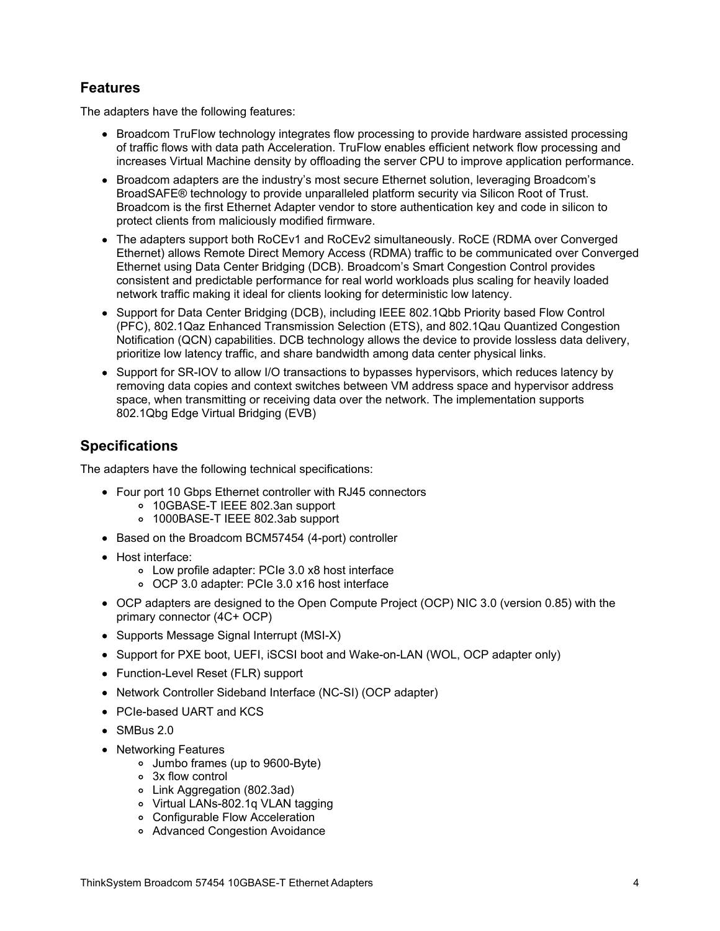# **Features**

The adapters have the following features:

- Broadcom TruFlow technology integrates flow processing to provide hardware assisted processing of traffic flows with data path Acceleration. TruFlow enables efficient network flow processing and increases Virtual Machine density by offloading the server CPU to improve application performance.
- Broadcom adapters are the industry's most secure Ethernet solution, leveraging Broadcom's BroadSAFE® technology to provide unparalleled platform security via Silicon Root of Trust. Broadcom is the first Ethernet Adapter vendor to store authentication key and code in silicon to protect clients from maliciously modified firmware.
- The adapters support both RoCEv1 and RoCEv2 simultaneously. RoCE (RDMA over Converged Ethernet) allows Remote Direct Memory Access (RDMA) traffic to be communicated over Converged Ethernet using Data Center Bridging (DCB). Broadcom's Smart Congestion Control provides consistent and predictable performance for real world workloads plus scaling for heavily loaded network traffic making it ideal for clients looking for deterministic low latency.
- Support for Data Center Bridging (DCB), including IEEE 802.1Qbb Priority based Flow Control (PFC), 802.1Qaz Enhanced Transmission Selection (ETS), and 802.1Qau Quantized Congestion Notification (QCN) capabilities. DCB technology allows the device to provide lossless data delivery, prioritize low latency traffic, and share bandwidth among data center physical links.
- Support for SR-IOV to allow I/O transactions to bypasses hypervisors, which reduces latency by removing data copies and context switches between VM address space and hypervisor address space, when transmitting or receiving data over the network. The implementation supports 802.1Qbg Edge Virtual Bridging (EVB)

#### **Specifications**

The adapters have the following technical specifications:

- Four port 10 Gbps Ethernet controller with RJ45 connectors
	- 10GBASE-T IEEE 802.3an support
	- 1000BASE-T IEEE 802.3ab support
- Based on the Broadcom BCM57454 (4-port) controller
- Host interface:
	- Low profile adapter: PCIe 3.0 x8 host interface
	- OCP 3.0 adapter: PCIe 3.0 x16 host interface
- OCP adapters are designed to the Open Compute Project (OCP) NIC 3.0 (version 0.85) with the primary connector (4C+ OCP)
- Supports Message Signal Interrupt (MSI-X)
- Support for PXE boot, UEFI, iSCSI boot and Wake-on-LAN (WOL, OCP adapter only)
- Function-Level Reset (FLR) support
- Network Controller Sideband Interface (NC-SI) (OCP adapter)
- PCIe-based UART and KCS
- $\bullet$  SMBus 2.0
- Networking Features
	- Jumbo frames (up to 9600-Byte)
	- 3x flow control
	- Link Aggregation (802.3ad)
	- Virtual LANs-802.1q VLAN tagging
	- Configurable Flow Acceleration
	- Advanced Congestion Avoidance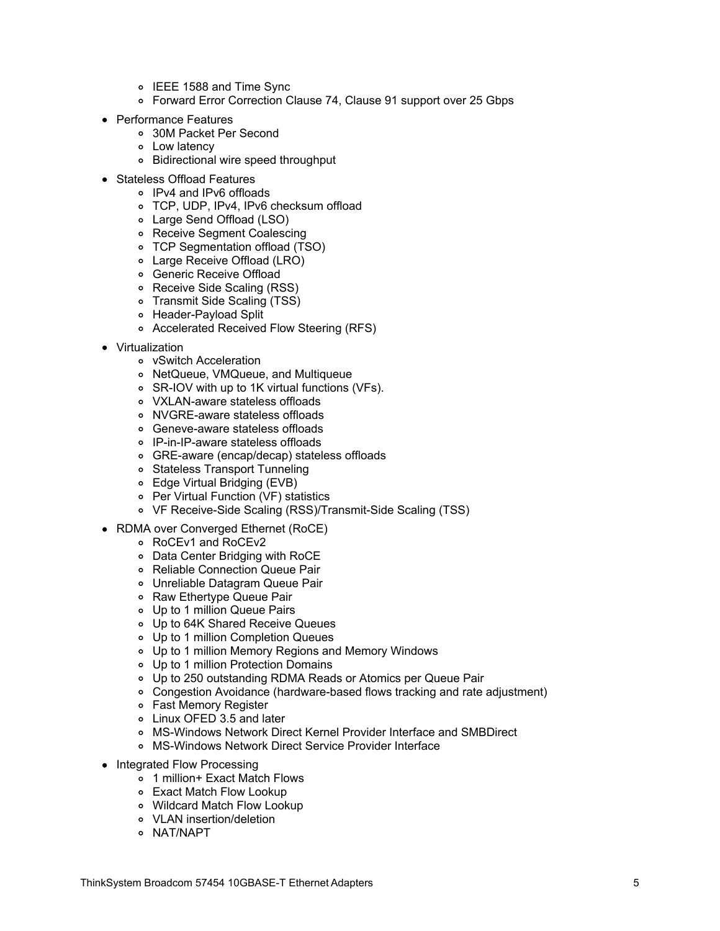- o IEEE 1588 and Time Sync
- Forward Error Correction Clause 74, Clause 91 support over 25 Gbps
- Performance Features
	- 30M Packet Per Second
	- Low latency
		- Bidirectional wire speed throughput
- Stateless Offload Features
	- IPv4 and IPv6 offloads
	- TCP, UDP, IPv4, IPv6 checksum offload
	- Large Send Offload (LSO)
	- Receive Segment Coalescing
	- TCP Segmentation offload (TSO)
	- Large Receive Offload (LRO)
	- Generic Receive Offload
	- Receive Side Scaling (RSS)
	- Transmit Side Scaling (TSS)
	- Header-Payload Split
	- Accelerated Received Flow Steering (RFS)
- Virtualization
	- vSwitch Acceleration
	- NetQueue, VMQueue, and Multiqueue
	- SR-IOV with up to 1K virtual functions (VFs).
	- VXLAN-aware stateless offloads
	- NVGRE-aware stateless offloads
	- Geneve-aware stateless offloads
	- IP-in-IP-aware stateless offloads
	- GRE-aware (encap/decap) stateless offloads
	- Stateless Transport Tunneling
	- Edge Virtual Bridging (EVB)
	- Per Virtual Function (VF) statistics
	- VF Receive-Side Scaling (RSS)/Transmit-Side Scaling (TSS)
- RDMA over Converged Ethernet (RoCE)
	- RoCEv1 and RoCEv2
	- Data Center Bridging with RoCE
	- Reliable Connection Queue Pair
	- Unreliable Datagram Queue Pair
	- o Raw Ethertype Queue Pair
	- Up to 1 million Queue Pairs
	- Up to 64K Shared Receive Queues
	- Up to 1 million Completion Queues
	- Up to 1 million Memory Regions and Memory Windows
	- Up to 1 million Protection Domains
	- Up to 250 outstanding RDMA Reads or Atomics per Queue Pair
	- Congestion Avoidance (hardware-based flows tracking and rate adjustment)
	- Fast Memory Register
	- Linux OFED 3.5 and later
	- MS-Windows Network Direct Kernel Provider Interface and SMBDirect
	- MS-Windows Network Direct Service Provider Interface
- Integrated Flow Processing
	- 1 million+ Exact Match Flows
	- Exact Match Flow Lookup
	- Wildcard Match Flow Lookup
	- VLAN insertion/deletion
	- o NAT/NAPT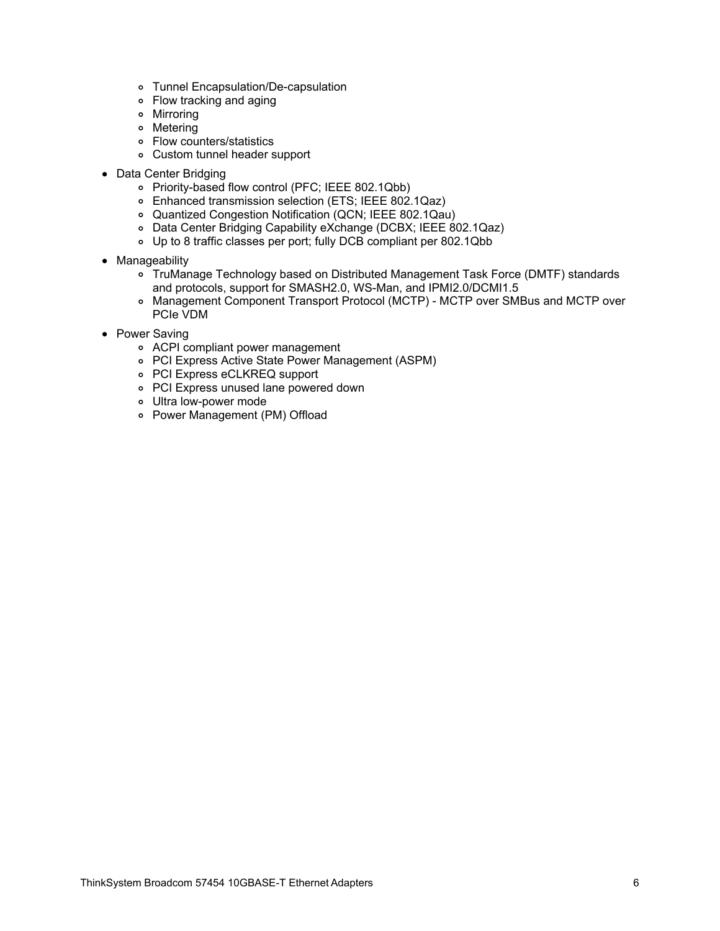- Tunnel Encapsulation/De-capsulation
- Flow tracking and aging
- Mirroring
- Metering
- Flow counters/statistics
- Custom tunnel header support
- Data Center Bridging
	- Priority-based flow control (PFC; IEEE 802.1Qbb)
	- Enhanced transmission selection (ETS; IEEE 802.1Qaz)
	- Quantized Congestion Notification (QCN; IEEE 802.1Qau)
	- Data Center Bridging Capability eXchange (DCBX; IEEE 802.1Qaz)
	- Up to 8 traffic classes per port; fully DCB compliant per 802.1Qbb
- Manageability
	- TruManage Technology based on Distributed Management Task Force (DMTF) standards and protocols, support for SMASH2.0, WS-Man, and IPMI2.0/DCMI1.5
	- Management Component Transport Protocol (MCTP) MCTP over SMBus and MCTP over PCIe VDM
- Power Saving
	- ACPI compliant power management
	- PCI Express Active State Power Management (ASPM)
	- PCI Express eCLKREQ support
	- PCI Express unused lane powered down
	- Ultra low-power mode
	- Power Management (PM) Offload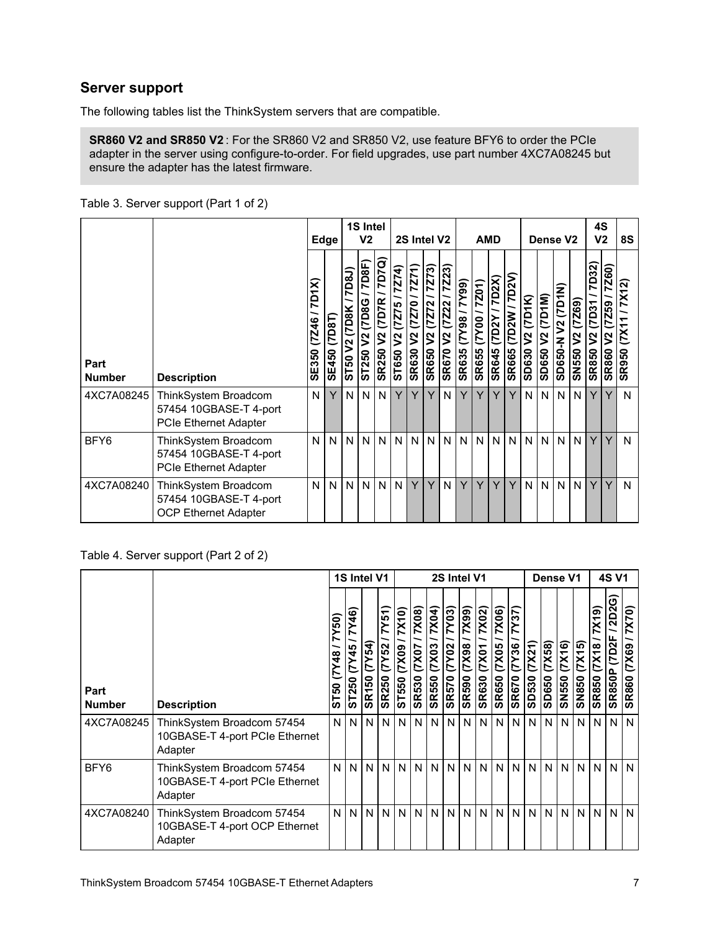#### **Server support**

The following tables list the ThinkSystem servers that are compatible.

**SR860 V2 and SR850 V2** : For the SR860 V2 and SR850 V2, use feature BFY6 to order the PCIe adapter in the server using configure-to-order. For field upgrades, use part number 4XC7A08245 but ensure the adapter has the latest firmware.

|                       |                                                                                |                         | 1S Intel<br>V <sub>2</sub><br>Edge |                             |                             | 2S Intel V2                        |                                                        |                                                      | <b>AMD</b>                                                            |                                                           |                     |                                 |                               | Dense V <sub>2</sub>           |                                |                                       | 4S<br>V <sub>2</sub>    |                                          | 8S                                                              |                                           |                                                                       |
|-----------------------|--------------------------------------------------------------------------------|-------------------------|------------------------------------|-----------------------------|-----------------------------|------------------------------------|--------------------------------------------------------|------------------------------------------------------|-----------------------------------------------------------------------|-----------------------------------------------------------|---------------------|---------------------------------|-------------------------------|--------------------------------|--------------------------------|---------------------------------------|-------------------------|------------------------------------------|-----------------------------------------------------------------|-------------------------------------------|-----------------------------------------------------------------------|
| Part<br><b>Number</b> | <b>Description</b>                                                             | 7D1X)<br>(7Z46<br>SE350 | (7D8T)<br><b>SE450</b>             | 7D8J)<br>(7D8K<br>ያ<br>ST50 | /7D8F)<br>V2 (7D8G<br>ST250 | (52.1)<br>V2 (7D7R<br><b>SR250</b> | $\overline{7274}$<br>(7275)<br>$\mathsf{S}^2$<br>ST650 | 7Z71)<br>022<br>Ë<br>$\sqrt{2}$<br>S <sub>RS30</sub> | $\sqrt{273}$<br>N<br>$\overline{z}$<br>Ë<br>$\mathsf{S}$<br>R650<br>ທ | 7Z23)<br><b>Z22</b><br>E<br>$\frac{2}{3}$<br><b>SR670</b> | SR635 (7Y98 / 7Y99) | 7201)<br>100(1)<br><b>SR655</b> | 7D2X)<br>XZQZ<br><b>SR645</b> | 7D2V<br>(7D2W)<br><b>SR665</b> | (7D1K)<br>$\tilde{z}$<br>SD630 | (7D1M)<br>$\tilde{z}$<br><b>SD650</b> | z<br>V2 (7D1<br>SD650-N | (6922)<br>$\mathsf{S}^2$<br><b>SN550</b> | 7D32)<br>1507<br>$\boldsymbol{\mathsf{S}}$<br>R850<br><b>SC</b> | 7Z60)<br>59<br>$\sim$<br><b>R860</b><br>ທ | $\sim$<br><b>X1</b><br>(XZ)<br>$\overline{50}$<br>$\overline{R}$<br>ഗ |
| 4XC7A08245            | ThinkSystem Broadcom<br>57454 10GBASE-T 4-port<br><b>PCIe Ethernet Adapter</b> | N                       | Y                                  | N.                          | N <sub>1</sub>              | N                                  | Y                                                      | Y                                                    | Y                                                                     | N                                                         | Y                   | Y                               | Y                             | Y                              | N.                             | N I                                   | N                       | N                                        | Y                                                               | Υ                                         | N                                                                     |
| BFY6                  | ThinkSystem Broadcom<br>57454 10GBASE-T 4-port<br><b>PCIe Ethernet Adapter</b> | N                       | N                                  | N.                          | N.                          | $\mathsf{N}$                       | N                                                      | N                                                    | N.                                                                    | N                                                         | N                   | N                               | N                             | N <sub>1</sub>                 | N.                             | N <sub>1</sub>                        | N                       | N                                        | Y                                                               | Y                                         | N                                                                     |
| 4XC7A08240            | ThinkSystem Broadcom<br>57454 10GBASE-T 4-port<br><b>OCP Ethernet Adapter</b>  | N                       | N I                                | N                           | N                           | $\mathsf{N}$                       | $\mathsf{N}$                                           | Y                                                    | Y                                                                     | N                                                         | Y                   | Y                               | Y                             | Y                              | N                              | N                                     | N                       | N                                        | Y                                                               | Y                                         | N                                                                     |

Table 3. Server support (Part 1 of 2)

Table 4. Server support (Part 2 of 2)

|                       |                                                                         |                    | 1S Intel V1<br>2S Intel V1 |                          |                                 |                         |                                       |                                |                                 | Dense V1                       |                                                                          |                                        | <b>4S V1</b>                |                 |                 |                        |                        |                                        |                                             |                                |
|-----------------------|-------------------------------------------------------------------------|--------------------|----------------------------|--------------------------|---------------------------------|-------------------------|---------------------------------------|--------------------------------|---------------------------------|--------------------------------|--------------------------------------------------------------------------|----------------------------------------|-----------------------------|-----------------|-----------------|------------------------|------------------------|----------------------------------------|---------------------------------------------|--------------------------------|
| Part<br><b>Number</b> | <b>Description</b>                                                      | ST50 (7Y48 / 7Y50) | Y46)<br>(7Y45)<br>ST250    | Y54<br>É<br><b>SR150</b> | 7Y51)<br>(TY52)<br><b>SR250</b> | 7X10)<br>60XZ)<br>ST550 | 7X08)<br><b>LOXZ)</b><br><b>SR530</b> | 7X04)<br>(7X03<br><b>SR550</b> | 7Y03)<br>(7Y02)<br><b>SR570</b> | (X99)<br>86XL)<br><b>SR590</b> | $\frac{7}{0}$<br>$\frac{7}{0}$<br>$\frac{100\times1}{2}$<br><b>SR630</b> | $\frac{20\times10}{2}$<br><b>SR650</b> | 57<br>(7Y36<br><b>SR670</b> | (7X21)<br>SD530 | (7X58)<br>SD650 | (7X16)<br><b>SN550</b> | (7X15)<br><b>SN850</b> | $X$ 19)<br><b>7X18</b><br><b>SR850</b> | <b>2D2G</b><br><b>IZQZ</b><br><b>SR850P</b> | 7X70)<br>69XZ)<br><b>SR860</b> |
| 4XC7A08245            | ThinkSystem Broadcom 57454<br>10GBASE-T 4-port PCIe Ethernet<br>Adapter | N                  | N                          | N                        | N.                              | N                       | N                                     | N                              | N                               | N                              | N                                                                        | N                                      | N.                          | N.              | N               | N                      | N <sub>1</sub>         | N                                      | N                                           | $\mathsf{N}$                   |
| BFY6                  | ThinkSystem Broadcom 57454<br>10GBASE-T 4-port PCIe Ethernet<br>Adapter | N                  | N                          | N                        | N                               | N                       | N                                     | N                              | N                               | $\overline{N}$                 | N.                                                                       | N                                      | N                           | N               | IN I            | N                      | N I                    | N                                      | N                                           | $\mathsf{N}$                   |
| 4XC7A08240            | ThinkSystem Broadcom 57454<br>10GBASE-T 4-port OCP Ethernet<br>Adapter  | N                  | N                          | N                        | N                               | N                       | N                                     | N                              | $\mathsf{N}$                    | IN.                            | N                                                                        | N                                      |                             | NNN             |                 | N <sub>1</sub>         | N I                    | N <sub>1</sub>                         | N                                           | $\mathsf{N}$                   |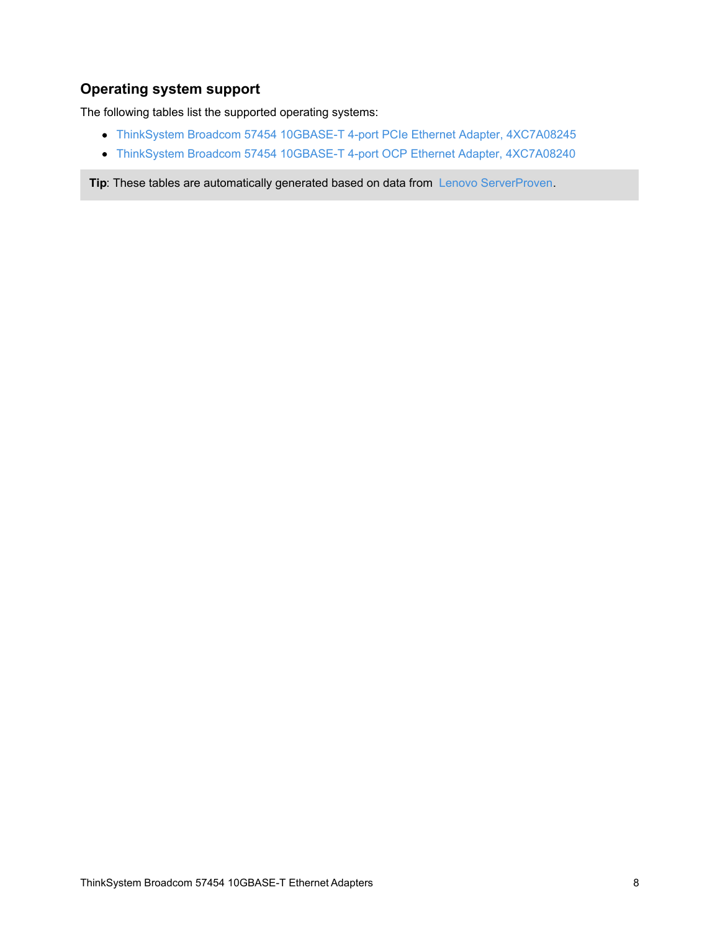# **Operating system support**

The following tables list the supported operating systems:

- ThinkSystem Broadcom 57454 10GBASE-T 4-port PCIe Ethernet Adapter, [4XC7A08245](#page-8-0)
- ThinkSystem Broadcom 57454 10GBASE-T 4-port OCP Ethernet Adapter, [4XC7A08240](#page-9-0)

**Tip:** These tables are automatically generated based on data from Lenovo [ServerProven](https://www.lenovo.com/us/en/serverproven/).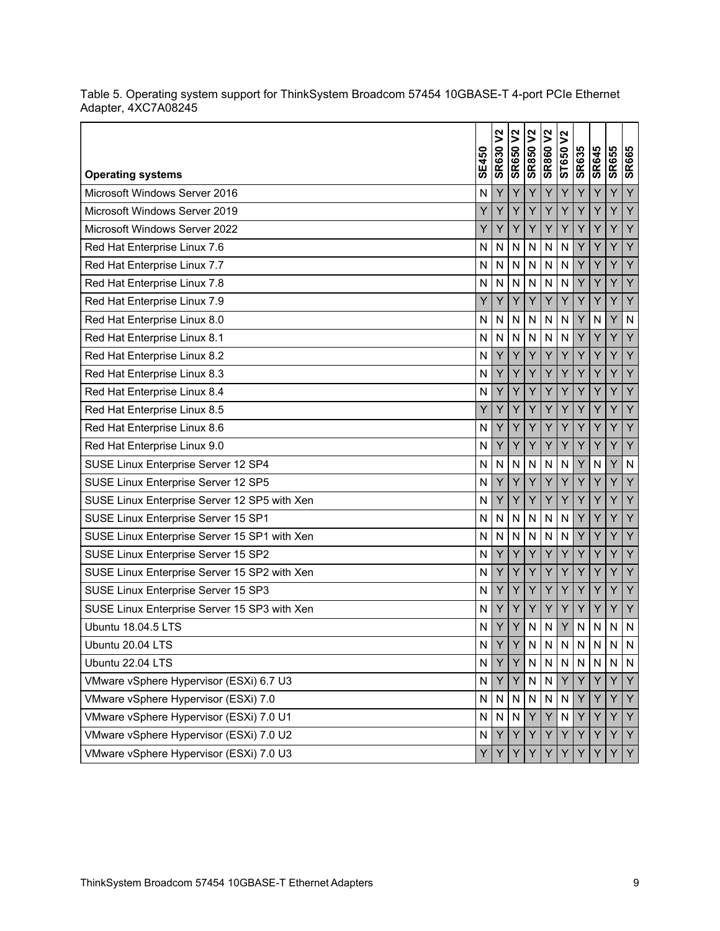| <b>Operating systems</b>                     | <b>SE450</b> | $\tilde{z}$<br><b>SR630</b> | $\frac{2}{\sqrt{2}}$<br><b>SR650</b> | <b>SR850 V2</b> | <b>SR860V2</b> | $2$<br>ST650 | <b>SR635</b> | <b>SR645</b> | <b>SR655</b> | <b>SR665</b> |
|----------------------------------------------|--------------|-----------------------------|--------------------------------------|-----------------|----------------|--------------|--------------|--------------|--------------|--------------|
| Microsoft Windows Server 2016                | N            | Y                           | Y                                    | Y               | Y              | Y            | Υ            | Y            | Y            | Y            |
| Microsoft Windows Server 2019                | Y            | Ý                           | Ý                                    | Y               | Y              | Y            | Y            | Ý            | Ý            | Y            |
| Microsoft Windows Server 2022                | Y            | Y                           | Υ                                    | Y               | Y              | Y            | Y            | Y            | Y            | Y            |
| Red Hat Enterprise Linux 7.6                 | N            | N                           | $\mathsf{N}$                         | N               | N              | N            | Y            | Y            | Y            | Y            |
| Red Hat Enterprise Linux 7.7                 | N            | N                           | $\mathsf{N}$                         | N               | N              | N            | Y            | Y            | Y            | Y            |
| Red Hat Enterprise Linux 7.8                 | N            | N                           | $\mathsf{N}$                         | N               | N              | N            | Y            | Y            | Ÿ            | Y            |
| Red Hat Enterprise Linux 7.9                 | Y            | Ý                           | Y                                    | Y               | Y              | Y            | Y            | Y            | Y            | Y            |
| Red Hat Enterprise Linux 8.0                 | N            | N                           | N                                    | N               | N              | N            | Y            | N            | Y            | ${\sf N}$    |
| Red Hat Enterprise Linux 8.1                 | N            | N                           | $\mathsf{N}$                         | N               | $\overline{N}$ | N            | Y            | Y            | Ý            | Y            |
| Red Hat Enterprise Linux 8.2                 | N            | Υ                           | Y                                    | Y               | Y              | Y            | Υ            | Y            | Y            | Y            |
| Red Hat Enterprise Linux 8.3                 | N            | Ý                           | Ý                                    | Y               | Y              | Y            | Y            | Y            | Y            | Y            |
| Red Hat Enterprise Linux 8.4                 | N            | Υ                           | Υ                                    | Y               | Y              | Υ            | Y            | Y            | Y            | Y            |
| Red Hat Enterprise Linux 8.5                 | Y            | Y                           | Y                                    | Y               | Y              | Y            | Y            | Y            | Y            | Y            |
| Red Hat Enterprise Linux 8.6                 | N            | Y                           | Ÿ                                    | Y               | Y              | Ÿ            | Y            | Y            | Ÿ            | Y            |
| Red Hat Enterprise Linux 9.0                 | N            | Y                           | Y                                    | Y               | Υ              | Y            | Y            | Y            | Y            | Y            |
| SUSE Linux Enterprise Server 12 SP4          | N            | N                           | N                                    | N               | N              | N            | Y            | N            | Y            | N            |
| SUSE Linux Enterprise Server 12 SP5          | N            | Y                           | Υ                                    | Y               | Y              | Y            | Υ            | Y            | Y            | Y            |
| SUSE Linux Enterprise Server 12 SP5 with Xen | N            | Ý                           | Ý                                    | Y               | Ý              | Ÿ            | Y            | Ÿ            | Ý            | Y            |
| SUSE Linux Enterprise Server 15 SP1          | N            | N                           | N                                    | N               | N              | $\mathsf{N}$ | Υ            | Y            | Y            | Y            |
| SUSE Linux Enterprise Server 15 SP1 with Xen | N            | N                           | $\mathsf{N}$                         | N               | N              | N            | Y            | Y            | Ÿ            | Y            |
| SUSE Linux Enterprise Server 15 SP2          | N            | Y                           | Y                                    | Y               | Y              | Y            | Y            | Y            | Y            | Y            |
| SUSE Linux Enterprise Server 15 SP2 with Xen | N            | Y                           | Y                                    | Y               | Y              | Υ            | Y            | Y            | Υ            | Y            |
| SUSE Linux Enterprise Server 15 SP3          | N            | Ÿ                           | Y                                    | Y               | Y              | Y            | Y            | Y            | Y            | Y            |
| SUSE Linux Enterprise Server 15 SP3 with Xen | N            | Y                           | Υ                                    | Y               | Y              | Υ            | Y            | Y            | Y            | Y            |
| Ubuntu 18.04.5 LTS                           | N            | Ý                           | Y                                    | N               | N              | Y            | N            | $\mathsf{N}$ | N            | $\mathsf{N}$ |
| Ubuntu 20.04 LTS                             | N            | Y                           | Y                                    | N               | $\mathsf{N}$   | $\mathsf{N}$ | N            | N            | N            | N            |
| Ubuntu 22.04 LTS                             | N            | Y                           | Y                                    | $\mathsf{N}$    | $\mathsf{N}$   | N            | N.           | N            | N            | N            |
| VMware vSphere Hypervisor (ESXi) 6.7 U3      | N            | Y                           | Υ                                    | ${\sf N}$       | $\mathsf{N}$   | Y.           | Y            | Y            | Y            | Y            |
| VMware vSphere Hypervisor (ESXi) 7.0         | N            | N                           | N                                    | N               | ${\sf N}$      | ${\sf N}$    | Y            | Y            | Y            | IY.          |
| VMware vSphere Hypervisor (ESXi) 7.0 U1      | N            | N                           | $\mathsf{N}$                         | Y               | Y              | $\mathsf{N}$ | Y            | Y            | Y            | Y            |
| VMware vSphere Hypervisor (ESXi) 7.0 U2      | N            | Y                           | Y                                    | Y               | Y              | Y            | Y            | Y            | Y            | Y            |
| VMware vSphere Hypervisor (ESXi) 7.0 U3      | Y            | Y                           | Y                                    | Y               | Y              | Y            | Y            | Y            | Υ            | Y            |

<span id="page-8-0"></span>Table 5. Operating system support for ThinkSystem Broadcom 57454 10GBASE-T 4-port PCIe Ethernet Adapter, 4XC7A08245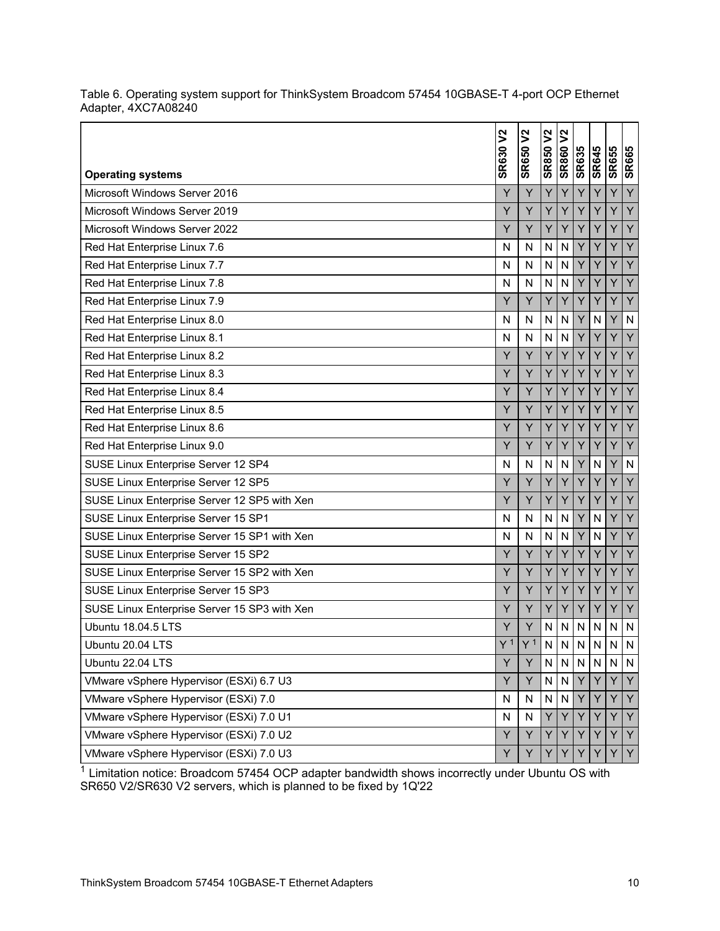| <b>Operating systems</b>                     | <b>SR630 V2</b> | <b>SR650V2</b> | <b>SR850 V2</b> | <b>SR860V2</b> | <b>SR635</b> | <b>SR645</b> | <b>SR655</b> | <b>SR665</b>            |
|----------------------------------------------|-----------------|----------------|-----------------|----------------|--------------|--------------|--------------|-------------------------|
| Microsoft Windows Server 2016                | Υ               | Υ              | Y               | Υ              | Υ            | Y            | Y            | Y                       |
| Microsoft Windows Server 2019                | Y               | Υ              | Y               | Y              | Y            | Y            | Y            | Y                       |
| Microsoft Windows Server 2022                | Y               | Y              | Y               | Y              | Y            | Y            | Y            | Y                       |
| Red Hat Enterprise Linux 7.6                 | $\mathsf{N}$    | N              | N               | N              | Y            | Y            | Y            | Y                       |
| Red Hat Enterprise Linux 7.7                 | N               | N              | N               | N              | Y            | Y            | Ý            | Y                       |
| Red Hat Enterprise Linux 7.8                 | N               | N              | N               | $\mathsf{N}$   | Y            | Y            | Y            | Y                       |
| Red Hat Enterprise Linux 7.9                 | Ÿ               | Y              | Y               | Υ              | Y            | Ÿ            | Y            | Y                       |
| Red Hat Enterprise Linux 8.0                 | N               | N              | N               | N              | Υ            | $\mathsf{N}$ | Y            | ${\sf N}$               |
| Red Hat Enterprise Linux 8.1                 | N               | N              | N               | $\mathsf{N}$   | Y            | Ÿ            | Ý            | Y                       |
| Red Hat Enterprise Linux 8.2                 | Y               | Υ              | Y               | Y              | Y            | Y            | Υ            | Y                       |
| Red Hat Enterprise Linux 8.3                 | Y               | Υ              | Y               | Υ              | Y            | Y            | Y            | Y                       |
| Red Hat Enterprise Linux 8.4                 | Y               | Y              | Y               | Y              | Y            | Y            | Ÿ            | Y                       |
| Red Hat Enterprise Linux 8.5                 | Y               | Υ              | Y               | Υ              | Y            | Y            | Υ            | Y                       |
| Red Hat Enterprise Linux 8.6                 | Ÿ               | Y              | Y               | Y              | Y            | Ÿ            | Y            | Y                       |
| Red Hat Enterprise Linux 9.0                 | Y               | Υ              | Y               | Y              | Υ            | Y            | Y            | Y                       |
| SUSE Linux Enterprise Server 12 SP4          | N               | N              | N               | $\mathsf{N}$   | Y            | N            | Ý            | $\overline{\mathsf{N}}$ |
| SUSE Linux Enterprise Server 12 SP5          | Y               | Υ              | Y               | Υ              | Υ            | Y            | Y            | Y                       |
| SUSE Linux Enterprise Server 12 SP5 with Xen | Y               | Υ              | Y               | Υ              | Y            | Y            | Y            | Y                       |
| SUSE Linux Enterprise Server 15 SP1          | N               | $\mathsf{N}$   | N               | $\mathsf{N}$   | Y            | N            | Y            | Y                       |
| SUSE Linux Enterprise Server 15 SP1 with Xen | N               | N              | N               | N              | Y            | N            | Y            | Y                       |
| SUSE Linux Enterprise Server 15 SP2          | Y               | Y              | Y               | Y              | Y            | Y            | Ÿ            | Y                       |
| SUSE Linux Enterprise Server 15 SP2 with Xen | Υ               | Υ              | Y               | Υ              | Y            | Y            | Y            | Y                       |
| SUSE Linux Enterprise Server 15 SP3          | Y               | Y              | Y               | Y              | Y            | Ÿ            | Ý            | Y                       |
| SUSE Linux Enterprise Server 15 SP3 with Xen | Y               | Y              | Y               | Υ              | Y            | Y            | Υ            | Y                       |
| <b>Ubuntu 18.04.5 LTS</b>                    | Y               | Y              | $\mathsf{N}$    | $\mathsf{N}$   | N            | $\mathsf{N}$ | N            | $\mathsf{N}$            |
| Ubuntu 20.04 LTS                             | V <sub>1</sub>  | $\vee$ 1       | $\mathbf{N}$    | $\mathsf{N}$   | $\mathsf{N}$ | $\mathbf{N}$ | N            | N                       |
| Ubuntu 22.04 LTS                             | Y               | Y              | $\mathsf{N}$    | $\mathsf{N}$   | N.           | N            | N            | ${\sf N}$               |
| VMware vSphere Hypervisor (ESXi) 6.7 U3      | Y               | Y              | $\mathsf{N}$    | N              | Y            | Y            | Y            | Y                       |
| VMware vSphere Hypervisor (ESXi) 7.0         | N               | N              | N               | N              | Y            | Y            | Y            | Y                       |
| VMware vSphere Hypervisor (ESXi) 7.0 U1      | N               | ${\sf N}$      | Y               | Y              | Y            | Y            | Y            | Y                       |
| VMware vSphere Hypervisor (ESXi) 7.0 U2      | Y               | Υ              | Y               | Y              | Y            | Y            | Υ            | Y                       |
| VMware vSphere Hypervisor (ESXi) 7.0 U3      | Υ               | Y              | Y               | Y              | Y            | Y            | Υ            | Y                       |

<span id="page-9-0"></span>Table 6. Operating system support for ThinkSystem Broadcom 57454 10GBASE-T 4-port OCP Ethernet Adapter, 4XC7A08240

 $1$  Limitation notice: Broadcom 57454 OCP adapter bandwidth shows incorrectly under Ubuntu OS with SR650 V2/SR630 V2 servers, which is planned to be fixed by 1Q'22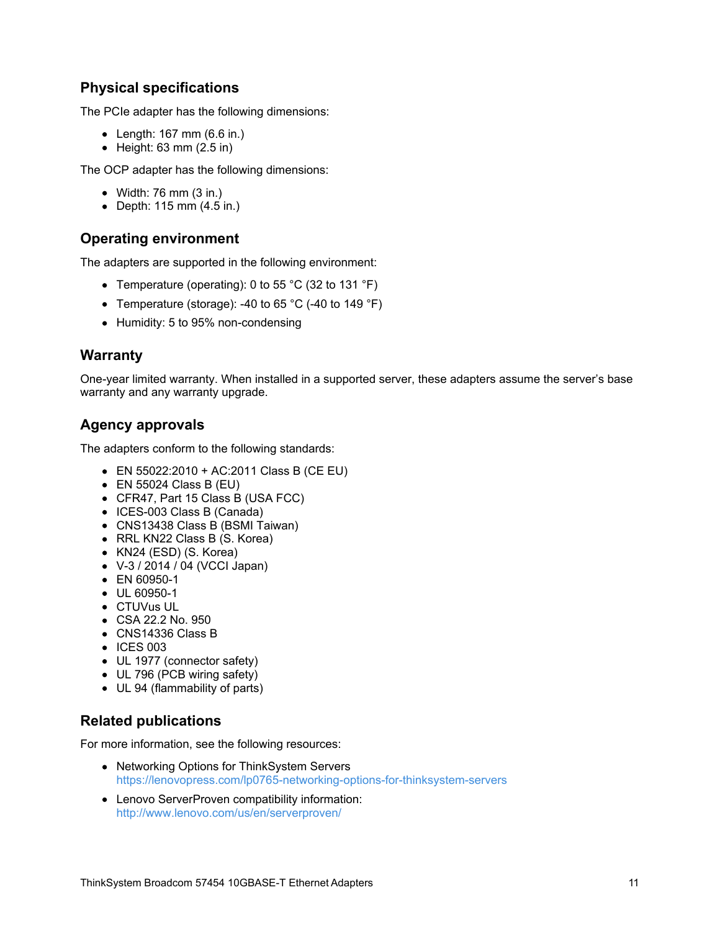# **Physical specifications**

The PCIe adapter has the following dimensions:

- Length: 167 mm (6.6 in.)
- $\bullet$  Height: 63 mm (2.5 in)

The OCP adapter has the following dimensions:

- $\bullet$  Width: 76 mm (3 in.)
- Depth: 115 mm (4.5 in.)

#### **Operating environment**

The adapters are supported in the following environment:

- Temperature (operating): 0 to 55 °C (32 to 131 °F)
- Temperature (storage): -40 to 65 °C (-40 to 149 °F)
- Humidity: 5 to 95% non-condensing

#### **Warranty**

One-year limited warranty. When installed in a supported server, these adapters assume the server's base warranty and any warranty upgrade.

## **Agency approvals**

The adapters conform to the following standards:

- EN 55022:2010 + AC:2011 Class B (CE EU)
- $\bullet$  EN 55024 Class B (EU)
- CFR47, Part 15 Class B (USA FCC)
- ICES-003 Class B (Canada)
- CNS13438 Class B (BSMI Taiwan)
- RRL KN22 Class B (S. Korea)
- KN24 (ESD) (S. Korea)
- V-3 / 2014 / 04 (VCCI Japan)
- EN 60950-1
- $\bullet$  UL 60950-1
- CTUVus UL
- CSA 22.2 No. 950
- CNS14336 Class B
- $\bullet$  ICES 003
- UL 1977 (connector safety)
- UL 796 (PCB wiring safety)
- UL 94 (flammability of parts)

#### **Related publications**

For more information, see the following resources:

- Networking Options for ThinkSystem Servers <https://lenovopress.com/lp0765-networking-options-for-thinksystem-servers>
- Lenovo ServerProven compatibility information: <http://www.lenovo.com/us/en/serverproven/>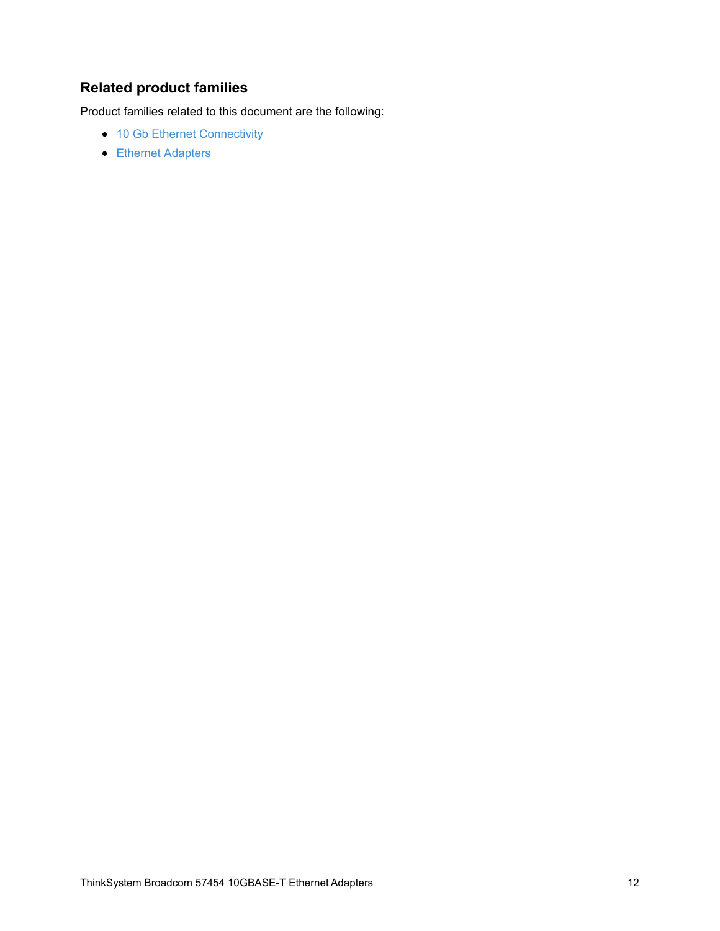# **Related product families**

Product families related to this document are the following:

- 10 Gb Ethernet [Connectivity](https://lenovopress.com/networking/tor/10gb)
- **Ethernet [Adapters](https://lenovopress.com/servers/options/ethernet)**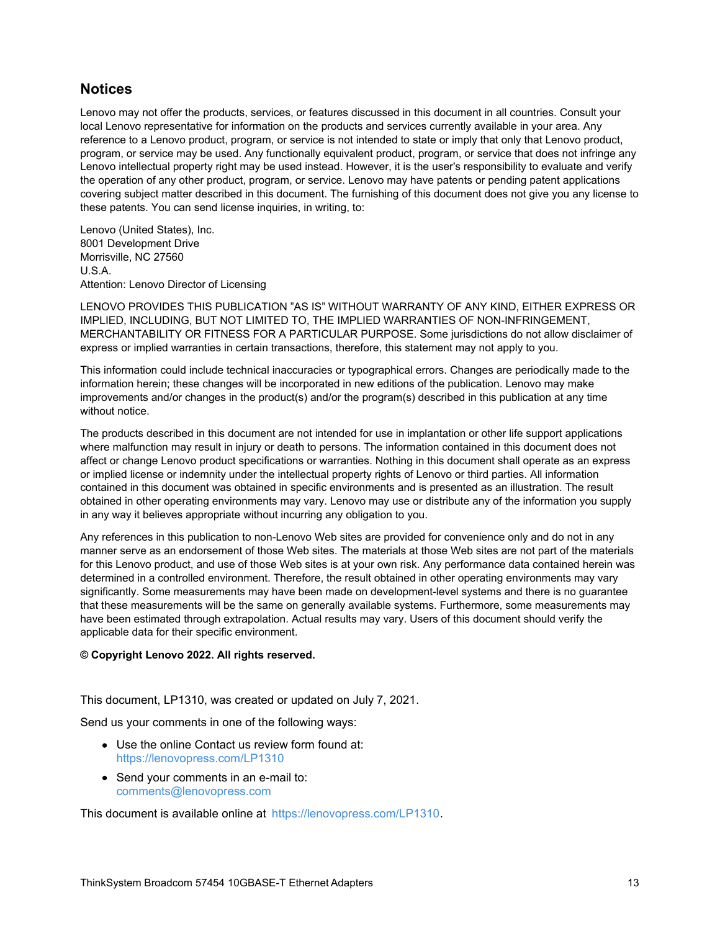#### **Notices**

Lenovo may not offer the products, services, or features discussed in this document in all countries. Consult your local Lenovo representative for information on the products and services currently available in your area. Any reference to a Lenovo product, program, or service is not intended to state or imply that only that Lenovo product, program, or service may be used. Any functionally equivalent product, program, or service that does not infringe any Lenovo intellectual property right may be used instead. However, it is the user's responsibility to evaluate and verify the operation of any other product, program, or service. Lenovo may have patents or pending patent applications covering subject matter described in this document. The furnishing of this document does not give you any license to these patents. You can send license inquiries, in writing, to:

Lenovo (United States), Inc. 8001 Development Drive Morrisville, NC 27560 U.S.A. Attention: Lenovo Director of Licensing

LENOVO PROVIDES THIS PUBLICATION "AS IS" WITHOUT WARRANTY OF ANY KIND, EITHER EXPRESS OR IMPLIED, INCLUDING, BUT NOT LIMITED TO, THE IMPLIED WARRANTIES OF NON-INFRINGEMENT, MERCHANTABILITY OR FITNESS FOR A PARTICULAR PURPOSE. Some jurisdictions do not allow disclaimer of express or implied warranties in certain transactions, therefore, this statement may not apply to you.

This information could include technical inaccuracies or typographical errors. Changes are periodically made to the information herein; these changes will be incorporated in new editions of the publication. Lenovo may make improvements and/or changes in the product(s) and/or the program(s) described in this publication at any time without notice.

The products described in this document are not intended for use in implantation or other life support applications where malfunction may result in injury or death to persons. The information contained in this document does not affect or change Lenovo product specifications or warranties. Nothing in this document shall operate as an express or implied license or indemnity under the intellectual property rights of Lenovo or third parties. All information contained in this document was obtained in specific environments and is presented as an illustration. The result obtained in other operating environments may vary. Lenovo may use or distribute any of the information you supply in any way it believes appropriate without incurring any obligation to you.

Any references in this publication to non-Lenovo Web sites are provided for convenience only and do not in any manner serve as an endorsement of those Web sites. The materials at those Web sites are not part of the materials for this Lenovo product, and use of those Web sites is at your own risk. Any performance data contained herein was determined in a controlled environment. Therefore, the result obtained in other operating environments may vary significantly. Some measurements may have been made on development-level systems and there is no guarantee that these measurements will be the same on generally available systems. Furthermore, some measurements may have been estimated through extrapolation. Actual results may vary. Users of this document should verify the applicable data for their specific environment.

#### **© Copyright Lenovo 2022. All rights reserved.**

This document, LP1310, was created or updated on July 7, 2021.

Send us your comments in one of the following ways:

- Use the online Contact us review form found at: <https://lenovopress.com/LP1310>
- Send your comments in an e-mail to: [comments@lenovopress.com](mailto:comments@lenovopress.com?subject=Feedback for LP1310)

This document is available online at <https://lenovopress.com/LP1310>.